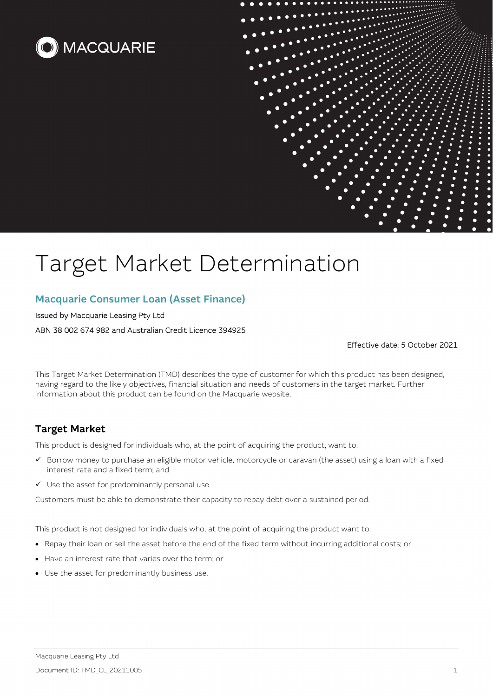



# Target Market Determination

## Macquarie Consumer Loan (Asset Finance)

#### Issued by Macquarie Leasing Pty Ltd

ABN 38 002 674 982 and Australian Credit Licence 394925

Effective date: 5 October 2021

This Target Market Determination (TMD) describes the type of customer for which this product has been designed, having regard to the likely objectives, financial situation and needs of customers in the target market. Further information about this product can be found on the Macquarie website.

## Target Market

This product is designed for individuals who, at the point of acquiring the product, want to:

- $\checkmark$  Borrow money to purchase an eligible motor vehicle, motorcycle or caravan (the asset) using a loan with a fixed interest rate and a fixed term; and
- $\checkmark$  Use the asset for predominantly personal use.

Customers must be able to demonstrate their capacity to repay debt over a sustained period.

This product is not designed for individuals who, at the point of acquiring the product want to:

- Repay their loan or sell the asset before the end of the fixed term without incurring additional costs; or
- Have an interest rate that varies over the term; or
- Use the asset for predominantly business use.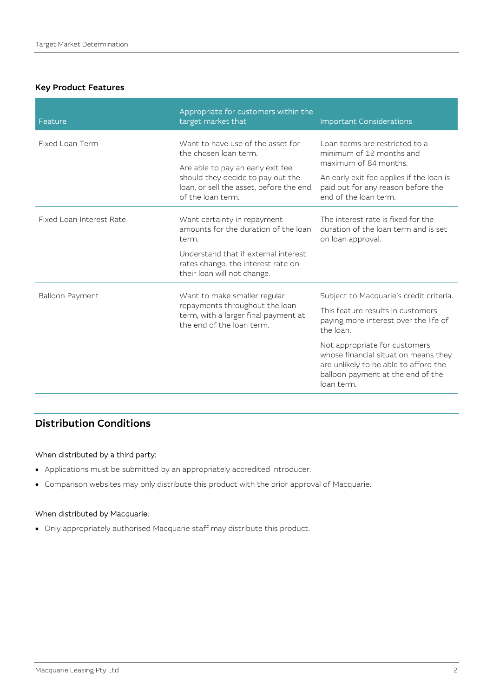### Key Product Features

| Feature                  | Appropriate for customers within the<br>target market that                                                                             | <b>Important Considerations</b>                                                                                                                                   |
|--------------------------|----------------------------------------------------------------------------------------------------------------------------------------|-------------------------------------------------------------------------------------------------------------------------------------------------------------------|
| Fixed Loan Term          | Want to have use of the asset for<br>the chosen loan term.                                                                             | Loan terms are restricted to a<br>minimum of 12 months and<br>maximum of 84 months.                                                                               |
|                          | Are able to pay an early exit fee<br>should they decide to pay out the<br>loan, or sell the asset, before the end<br>of the loan term. |                                                                                                                                                                   |
|                          |                                                                                                                                        | An early exit fee applies if the loan is<br>paid out for any reason before the<br>end of the loan term.                                                           |
| Fixed Loan Interest Rate | Want certainty in repayment<br>amounts for the duration of the loan<br>term.                                                           | The interest rate is fixed for the<br>duration of the loan term and is set.<br>on loan approval.                                                                  |
|                          | Understand that if external interest<br>rates change, the interest rate on<br>their loan will not change.                              |                                                                                                                                                                   |
| Balloon Payment          | Want to make smaller regular<br>repayments throughout the loan<br>term, with a larger final payment at<br>the end of the loan term.    | Subject to Macquarie's credit criteria.                                                                                                                           |
|                          |                                                                                                                                        | This feature results in customers<br>paying more interest over the life of<br>the loan.                                                                           |
|                          |                                                                                                                                        | Not appropriate for customers<br>whose financial situation means they<br>are unlikely to be able to afford the<br>balloon payment at the end of the<br>loan term. |

# Distribution Conditions

#### When distributed by a third party:

- Applications must be submitted by an appropriately accredited introducer.
- Comparison websites may only distribute this product with the prior approval of Macquarie.

## When distributed by Macquarie:

Only appropriately authorised Macquarie staff may distribute this product.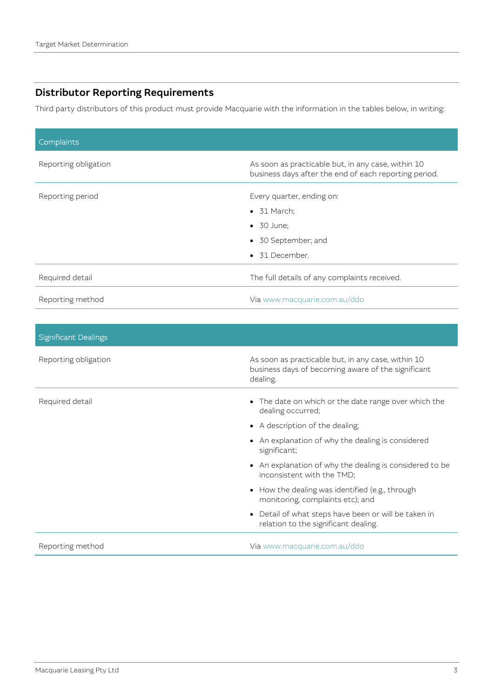# Distributor Reporting Requirements

Third party distributors of this product must provide Macquarie with the information in the tables below, in writing:

| Complaints           |                                                                                                             |
|----------------------|-------------------------------------------------------------------------------------------------------------|
| Reporting obligation | As soon as practicable but, in any case, within 10<br>business days after the end of each reporting period. |
| Reporting period     | Every quarter, ending on:                                                                                   |
|                      | $\bullet$ 31 March:                                                                                         |
|                      | $\bullet$ 30 June:                                                                                          |
|                      | • 30 September; and                                                                                         |
|                      | • 31 December.                                                                                              |
| Required detail      | The full details of any complaints received.                                                                |
| Reporting method     | Via www.macquarie.com.au/ddo                                                                                |

| <b>Significant Dealings</b> |                                                                                                                      |
|-----------------------------|----------------------------------------------------------------------------------------------------------------------|
| Reporting obligation        | As soon as practicable but, in any case, within 10<br>business days of becoming aware of the significant<br>dealing. |
| Required detail             | • The date on which or the date range over which the<br>dealing occurred;                                            |
|                             | A description of the dealing;                                                                                        |
|                             | • An explanation of why the dealing is considered<br>significant;                                                    |
|                             | • An explanation of why the dealing is considered to be<br>inconsistent with the TMD;                                |
|                             | • How the dealing was identified (e.g., through<br>monitoring, complaints etc); and                                  |
|                             | • Detail of what steps have been or will be taken in<br>relation to the significant dealing.                         |
| Reporting method            | Via www.macquarie.com.au/ddo                                                                                         |